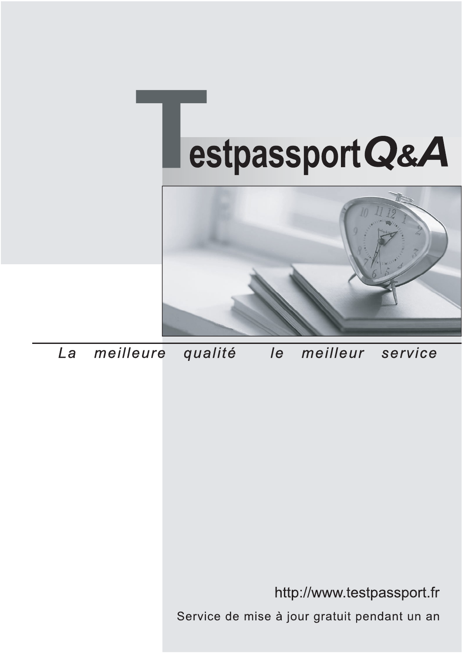



meilleure La qualité  $\overline{e}$ meilleur service

http://www.testpassport.fr

Service de mise à jour gratuit pendant un an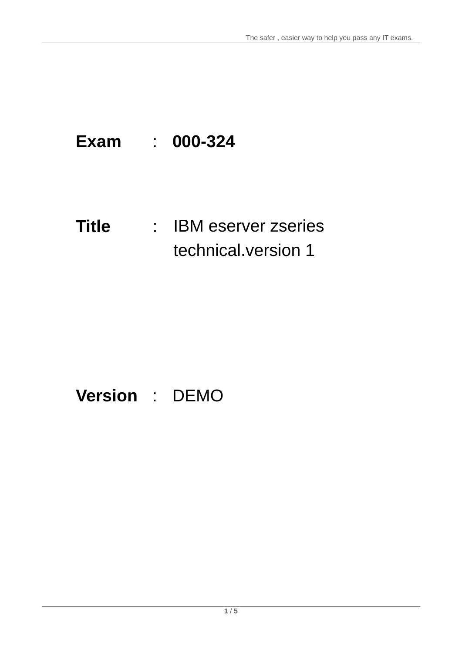## **Exam** : **000-324**

### **Title** : IBM eserver zseries IBM eserver zseries technical.version 1

# **Version** : DEMO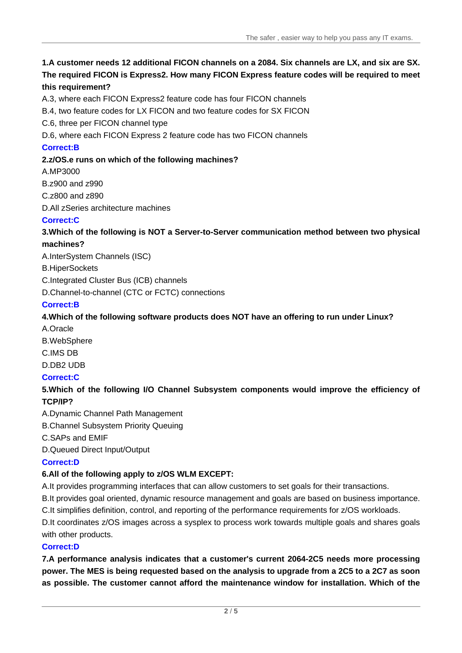#### **1.A customer needs 12 additional FICON channels on a 2084. Six channels are LX, and six are SX. The required FICON is Express2. How many FICON Express feature codes will be required to meet this requirement?**

A.3, where each FICON Express2 feature code has four FICON channels

B.4, two feature codes for LX FICON and two feature codes for SX FICON

C.6, three per FICON channel type

D.6, where each FICON Express 2 feature code has two FICON channels

#### **Correct:B**

#### **2.z/OS.e runs on which of the following machines?**

A.MP3000

B.z900 and z990

C.z800 and z890

D.All zSeries architecture machines

#### **Correct:C**

#### **3.Which of the following is NOT a Server-to-Server communication method between two physical machines?**

A.InterSystem Channels (ISC)

B.HiperSockets

C.Integrated Cluster Bus (ICB) channels

D.Channel-to-channel (CTC or FCTC) connections

#### **Correct:B**

#### **4.Which of the following software products does NOT have an offering to run under Linux?**

A.Oracle B.WebSphere C.IMS DB D.DB2 UDB

### **Correct:C**

#### **5.Which of the following I/O Channel Subsystem components would improve the efficiency of TCP/IP?**

A.Dynamic Channel Path Management

B.Channel Subsystem Priority Queuing

C.SAPs and EMIF

D.Queued Direct Input/Output

#### **Correct:D**

#### **6.All of the following apply to z/OS WLM EXCEPT:**

A.It provides programming interfaces that can allow customers to set goals for their transactions.

B.It provides goal oriented, dynamic resource management and goals are based on business importance.

C.It simplifies definition, control, and reporting of the performance requirements for z/OS workloads.

D.It coordinates z/OS images across a sysplex to process work towards multiple goals and shares goals with other products.

#### **Correct:D**

**7.A performance analysis indicates that a customer's current 2064-2C5 needs more processing power. The MES is being requested based on the analysis to upgrade from a 2C5 to a 2C7 as soon as possible. The customer cannot afford the maintenance window for installation. Which of the**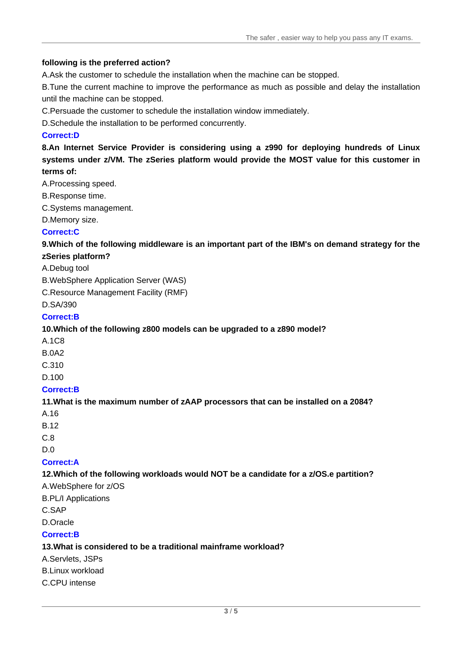#### **following is the preferred action?**

A.Ask the customer to schedule the installation when the machine can be stopped.

B.Tune the current machine to improve the performance as much as possible and delay the installation until the machine can be stopped.

C.Persuade the customer to schedule the installation window immediately.

D.Schedule the installation to be performed concurrently.

#### **Correct:D**

**8.An Internet Service Provider is considering using a z990 for deploying hundreds of Linux systems under z/VM. The zSeries platform would provide the MOST value for this customer in terms of:**

A.Processing speed.

- B.Response time.
- C.Systems management.

D.Memory size.

#### **Correct:C**

**9.Which of the following middleware is an important part of the IBM's on demand strategy for the zSeries platform?**

#### A.Debug tool

B.WebSphere Application Server (WAS)

C.Resource Management Facility (RMF)

D.SA/390

#### **Correct:B**

#### **10.Which of the following z800 models can be upgraded to a z890 model?**

- A.1C8
- B.0A2
- C.310 and the contract of the contract of the contract of the contract of the contract of the contract of the contract of the contract of the contract of the contract of the contract of the contract of the contract of the

D.100

#### **Correct:B**

#### **11.What is the maximum number of zAAP processors that can be installed on a 2084?**

- A.16
- B.12 and the contract of the contract of the contract of the contract of the contract of the contract of the contract of the contract of the contract of the contract of the contract of the contract of the contract of the c
- C.8 and the contract of the contract of the contract of the contract of the contract of the contract of the contract of the contract of the contract of the contract of the contract of the contract of the contract of the co
- D.0

#### **Correct:A**

#### **12.Which of the following workloads would NOT be a candidate for a z/OS.e partition?**

A.WebSphere for z/OS

B.PL/I Applications

C.SAP

D.Oracle

#### **Correct:B**

#### **13.What is considered to be a traditional mainframe workload?**

A.Servlets, JSPs

B.Linux workload

C.CPU intense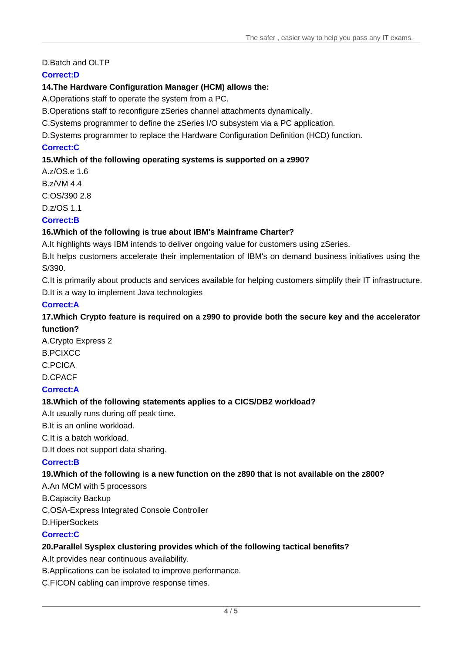#### D.Batch and OLTP

#### **Correct:D**

#### **14.The Hardware Configuration Manager (HCM) allows the:**

A.Operations staff to operate the system from a PC.

B.Operations staff to reconfigure zSeries channel attachments dynamically.

C.Systems programmer to define the zSeries I/O subsystem via a PC application.

D.Systems programmer to replace the Hardware Configuration Definition (HCD) function.

#### **Correct:C**

#### **15.Which of the following operating systems is supported on a z990?**

A.z/OS.e 1.6 B.z/VM 4.4 C.OS/390 2.8 D.z/OS 1.1

#### **Correct:B**

#### **16.Which of the following is true about IBM's Mainframe Charter?**

A.It highlights ways IBM intends to deliver ongoing value for customers using zSeries.

B.It helps customers accelerate their implementation of IBM's on demand business initiatives using the S/390.

C.It is primarily about products and services available for helping customers simplify their IT infrastructure. D.It is a way to implement Java technologies

#### **Correct:A**

#### **17.Which Crypto feature is required on a z990 to provide both the secure key and the accelerator function?**

A.Crypto Express 2 B.PCIXCC C.PCICA D.CPACF

#### **Correct:A**

#### **18.Which of the following statements applies to a CICS/DB2 workload?**

A.It usually runs during off peak time.

B.It is an online workload.

C.It is a batch workload.

D.It does not support data sharing.

#### **Correct:B**

#### **19.Which of the following is a new function on the z890 that is not available on the z800?**

A.An MCM with 5 processors

B.Capacity Backup

C.OSA-Express Integrated Console Controller

D.HiperSockets

#### **Correct:C**

#### **20.Parallel Sysplex clustering provides which of the following tactical benefits?**

A.It provides near continuous availability.

B.Applications can be isolated to improve performance.

C.FICON cabling can improve response times.